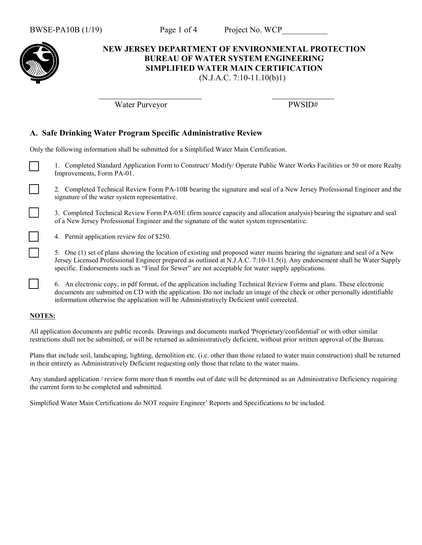

### **NEW JERSEY DEPARTMENT OF ENVIRONMENTAL PROTECTION BUREAU OF WATER SYSTEM ENGINEERING SIMPLIFIED WATER MAIN CERTIFICATION** (N.J.A.C. 7:10-11.10(b)1)

Water Purveyor PWSID#

# **A. Safe Drinking Water Program Specific Administrative Review**

Only the following information shall be submitted for a Simplified Water Main Certification.

1. Completed Standard Application Form to Construct/ Modify/ Operate Public Water Works Facilities or 50 or more Realty Improvements, Form PA-01.

2. Completed Technical Review Form PA-10B bearing the signature and seal of a New Jersey Professional Engineer and the signature of the water system representative.

3. Completed Technical Review Form PA-05E (firm source capacity and allocation analysis) bearing the signature and seal of a New Jersey Professional Engineer and the signature of the water system representative.

4. Permit application review fee of \$250.

5. One (1) set of plans showing the location of existing and proposed water mains bearing the signature and seal of a New Jersey Licensed Professional Engineer prepared as outlined at N.J.A.C. 7:10-11.5(i). Any endorsement shall be Water Supply specific. Endorsements such as "Final for Sewer" are not acceptable for water supply applications.

6. An electronic copy, in pdf format, of the application including Technical Review Forms and plans. These electronic documents are submitted on CD with the application. Do not include an image of the check or other personally identifiable information otherwise the application will be Administratively Deficient until corrected.

#### **NOTES:**

All application documents are public records. Drawings and documents marked 'Proprietary/confidential' or with other similar restrictions shall not be submitted, or will be returned as administratively deficient, without prior written approval of the Bureau.

Plans that include soil, landscaping, lighting, demolition etc. (i.e. other than those related to water main construction) shall be returned in their entirety as Administratively Deficient requesting only those that relate to the water mains.

Any standard application / review form more than 6 months out of date will be determined as an Administrative Deficiency requiring the current form to be completed and submitted.

Simplified Water Main Certifications do NOT require Engineer' Reports and Specifications to be included.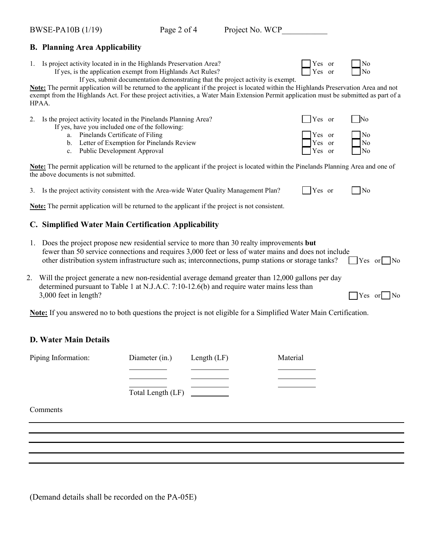### **B. Planning Area Applicability**

1. Is project activity located in in the Highlands Preservation Area?  $\Box$  Yes or  $\Box$  No

If yes, is the application exempt from Highlands Act Rules?  $\Box$  Yes or  $\Box$  Yes

If yes, submit documentation demonstrating that the project activity is exempt.

**Note:** The permit application will be returned to the applicant if the project is located within the Highlands Preservation Area and not exempt from the Highlands Act. For these project activities, a Water Main Extension Permit application must be submitted as part of a HPAA.

| 2. |    | Is the project activity located in the Pinelands Planning Area?                                                                                                     | Yes or                                                                                                   | $\overline{\phantom{1}}$ No               |
|----|----|---------------------------------------------------------------------------------------------------------------------------------------------------------------------|----------------------------------------------------------------------------------------------------------|-------------------------------------------|
|    | a. | If yes, have you included one of the following:<br>Pinelands Certificate of Filing<br>b. Letter of Exemption for Pinelands Review<br>c. Public Development Approval | $\begin{array}{c} \n\text{Yes} \text{or} \\ \text{Yes} \text{or} \\ \text{Yes} \text{or} \\ \end{array}$ | $\frac{1}{\sqrt{N_0}}$<br>$\frac{1}{N_0}$ |

**Note:** The permit application will be returned to the applicant if the project is located within the Pinelands Planning Area and one of the above documents is not submitted.

| Yes or<br>3. Is the project activity consistent with the Area-wide Water Quality Management Plan? |
|---------------------------------------------------------------------------------------------------|
|---------------------------------------------------------------------------------------------------|

**Note:** The permit application will be returned to the applicant if the project is not consistent.

# **C. Simplified Water Main Certification Applicability**

- 1. Does the project propose new residential service to more than 30 realty improvements **but** fewer than 50 service connections and requires 3,000 feet or less of water mains and does not include other distribution system infrastructure such as; interconnections, pump stations or storage tanks?  $\Box$  Yes or  $\Box$  No
- 2. Will the project generate a new non-residential average demand greater than 12,000 gallons per day determined pursuant to Table 1 at N.J.A.C. 7:10-12.6(b) and require water mains less than  $3,000$  feet in length?

**Note:** If you answered no to both questions the project is not eligible for a Simplified Water Main Certification.

# **D. Water Main Details**

| Piping Information: | Diameter (in.)    | Length $(LF)$ | Material |
|---------------------|-------------------|---------------|----------|
|                     |                   |               |          |
|                     |                   |               |          |
|                     | Total Length (LF) |               |          |
| Comments            |                   |               |          |
|                     |                   |               |          |
|                     |                   |               |          |

(Demand details shall be recorded on the PA-05E)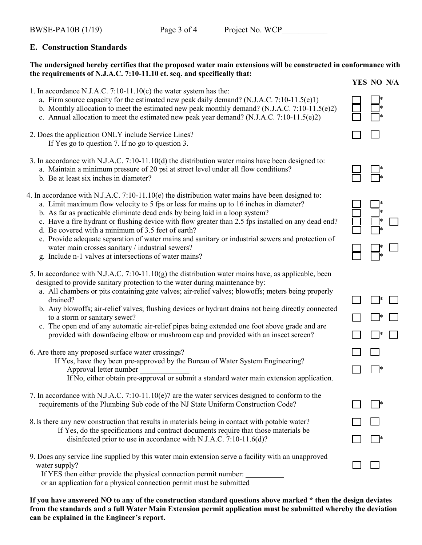# **E. Construction Standards**

### **The undersigned hereby certifies that the proposed water main extensions will be constructed in conformance with the requirements of N.J.A.C. 7:10-11.10 et. seq. and specifically that:**

- 1. In accordance N.J.A.C. 7:10-11.10(c) the water system has the:
	- a. Firm source capacity for the estimated new peak daily demand? (N.J.A.C. 7:10-11.5(e)1)
	- b. Monthly allocation to meet the estimated new peak monthly demand? (N.J.A.C. 7:10-11.5(e)2)
	- c. Annual allocation to meet the estimated new peak year demand?  $(N.J.A.C. 7:10-11.5(e)2)$
- 2. Does the application ONLY include Service Lines? If Yes go to question 7. If no go to question 3.
- 3. In accordance with N.J.A.C. 7:10-11.10(d) the distribution water mains have been designed to:
	- a. Maintain a minimum pressure of 20 psi at street level under all flow conditions? \*
	- b. Be at least six inches in diameter?
- 4. In accordance with N.J.A.C. 7:10-11.10(e) the distribution water mains have been designed to:
	- a. Limit maximum flow velocity to 5 fps or less for mains up to 16 inches in diameter? \*
	- b. As far as practicable eliminate dead ends by being laid in a loop system? \*
	- c. Have a fire hydrant or flushing device with flow greater than 2.5 fps installed on any dead end? \*
	- d. Be covered with a minimum of 3.5 feet of earth? \*
	- e. Provide adequate separation of water mains and sanitary or industrial sewers and protection of water main crosses sanitary / industrial sewers?
	- g. Include n-1 valves at intersections of water mains? \*
- 5. In accordance with N.J.A.C. 7:10-11.10(g) the distribution water mains have, as applicable, been designed to provide sanitary protection to the water during maintenance by:
	- a. All chambers or pits containing gate valves; air-relief valves; blowoffs; meters being properly drained?
	- b. Any blowoffs; air-relief valves; flushing devices or hydrant drains not being directly connected to a storm or sanitary sewer?
	- c. The open end of any automatic air-relief pipes being extended one foot above grade and are provided with downfacing elbow or mushroom cap and provided with an insect screen? \*
- 6. Are there any proposed surface water crossings?
	- If Yes, have they been pre-approved by the Bureau of Water System Engineering? Approval letter number \_\_\_\_\_\_\_\_\_\_\_\_\_ \*
		- If No, either obtain pre-approval or submit a standard water main extension application.
- 7. In accordance with N.J.A.C. 7:10-11.10(e)7 are the water services designed to conform to the requirements of the Plumbing Sub code of the NJ State Uniform Construction Code? \*
- 8.Is there any new construction that results in materials being in contact with potable water? If Yes, do the specifications and contract documents require that those materials be disinfected prior to use in accordance with N.J.A.C. 7:10-11.6(d)? \*
- 9. Does any service line supplied by this water main extension serve a facility with an unapproved water supply?

If YES then either provide the physical connection permit number:

or an application for a physical connection permit must be submitted

**If you have answered NO to any of the construction standard questions above marked \* then the design deviates from the standards and a full Water Main Extension permit application must be submitted whereby the deviation can be explained in the Engineer's report.**

**YES NO N/A**



| *<br>ł<br>4<br>i.<br>ł |  |
|------------------------|--|
| L<br>*                 |  |

| $\Box$ | $\Box^*$                 | $\Box$ |
|--------|--------------------------|--------|
|        | $\Box^*$                 | $\Box$ |
| $\Box$ | $\Box^*$                 | $\Box$ |
| $\Box$ | $\Box$                   |        |
| $\Box$ |                          |        |
|        |                          |        |
| $\Box$ | $\overline{\phantom{a}}$ |        |
| $\Box$ | $\Box$                   |        |
| $\Box$ | $\Box^*$                 |        |
|        |                          |        |